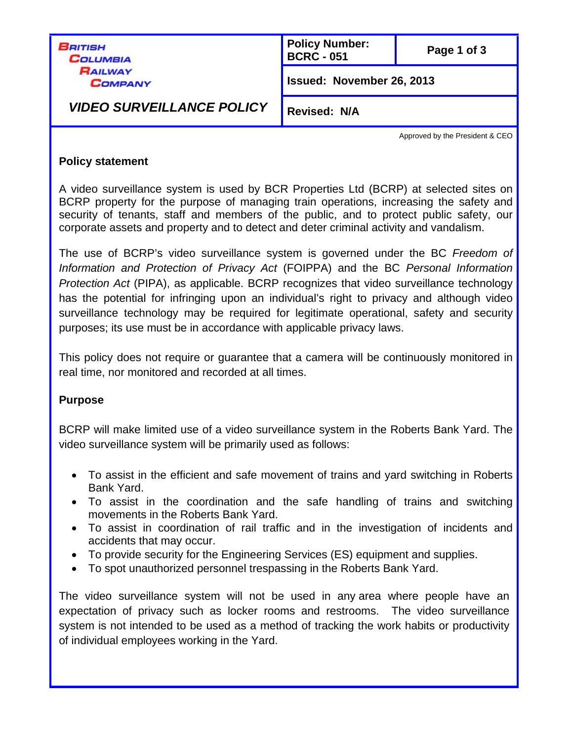| Beitish<br>Columbia              | <b>Policy Number:</b><br><b>BCRC - 051</b> | Page 1 of 3 |
|----------------------------------|--------------------------------------------|-------------|
| <b>RAILWAY</b><br><b>COMPANY</b> | Issued: November 26, 2013                  |             |
| <b>VIDEO SURVEILLANCE POLICY</b> | <b>Revised: N/A</b>                        |             |

Approved by the President & CEO

#### **Policy statement**

A video surveillance system is used by BCR Properties Ltd (BCRP) at selected sites on BCRP property for the purpose of managing train operations, increasing the safety and security of tenants, staff and members of the public, and to protect public safety, our corporate assets and property and to detect and deter criminal activity and vandalism.

The use of BCRP's video surveillance system is governed under the BC *Freedom of Information and Protection of Privacy Act* (FOIPPA) and the BC *Personal Information Protection Act* (PIPA), as applicable. BCRP recognizes that video surveillance technology has the potential for infringing upon an individual's right to privacy and although video surveillance technology may be required for legitimate operational, safety and security purposes; its use must be in accordance with applicable privacy laws.

This policy does not require or guarantee that a camera will be continuously monitored in real time, nor monitored and recorded at all times.

## **Purpose**

BCRP will make limited use of a video surveillance system in the Roberts Bank Yard. The video surveillance system will be primarily used as follows:

- To assist in the efficient and safe movement of trains and yard switching in Roberts Bank Yard.
- To assist in the coordination and the safe handling of trains and switching movements in the Roberts Bank Yard.
- To assist in coordination of rail traffic and in the investigation of incidents and accidents that may occur.
- To provide security for the Engineering Services (ES) equipment and supplies.
- To spot unauthorized personnel trespassing in the Roberts Bank Yard.

The video surveillance system will not be used in any area where people have an expectation of privacy such as locker rooms and restrooms. The video surveillance system is not intended to be used as a method of tracking the work habits or productivity of individual employees working in the Yard.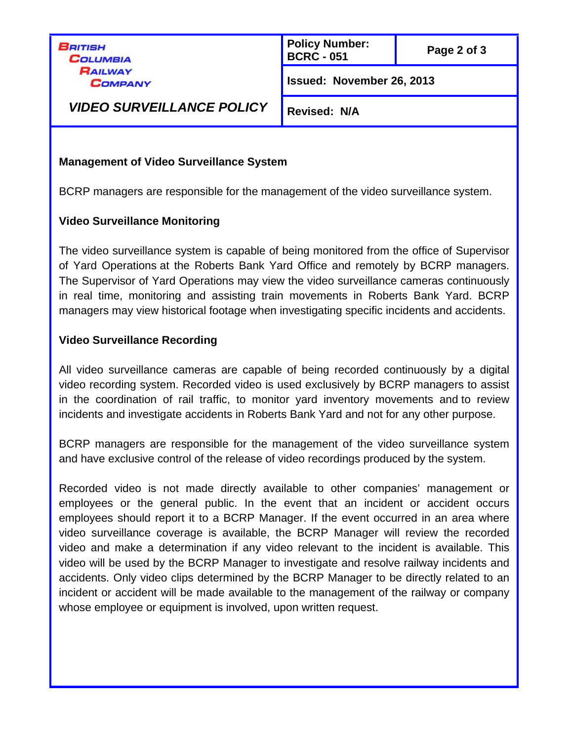BRITISH **COLUMBIA** RAILWAY **COMPANY**  **Policy Number: BCRC - <sup>051</sup> Page 2 of 3**

**Issued: November 26, 2013**

*VIDEO SURVEILLANCE POLICY*

**Revised: N/A**

## **Management of Video Surveillance System**

BCRP managers are responsible for the management of the video surveillance system.

# **Video Surveillance Monitoring**

The video surveillance system is capable of being monitored from the office of Supervisor of Yard Operations at the Roberts Bank Yard Office and remotely by BCRP managers. The Supervisor of Yard Operations may view the video surveillance cameras continuously in real time, monitoring and assisting train movements in Roberts Bank Yard. BCRP managers may view historical footage when investigating specific incidents and accidents.

# **Video Surveillance Recording**

All video surveillance cameras are capable of being recorded continuously by a digital video recording system. Recorded video is used exclusively by BCRP managers to assist in the coordination of rail traffic, to monitor yard inventory movements and to review incidents and investigate accidents in Roberts Bank Yard and not for any other purpose.

BCRP managers are responsible for the management of the video surveillance system and have exclusive control of the release of video recordings produced by the system.

Recorded video is not made directly available to other companies' management or employees or the general public. In the event that an incident or accident occurs employees should report it to a BCRP Manager. If the event occurred in an area where video surveillance coverage is available, the BCRP Manager will review the recorded video and make a determination if any video relevant to the incident is available. This video will be used by the BCRP Manager to investigate and resolve railway incidents and accidents. Only video clips determined by the BCRP Manager to be directly related to an incident or accident will be made available to the management of the railway or company whose employee or equipment is involved, upon written request.